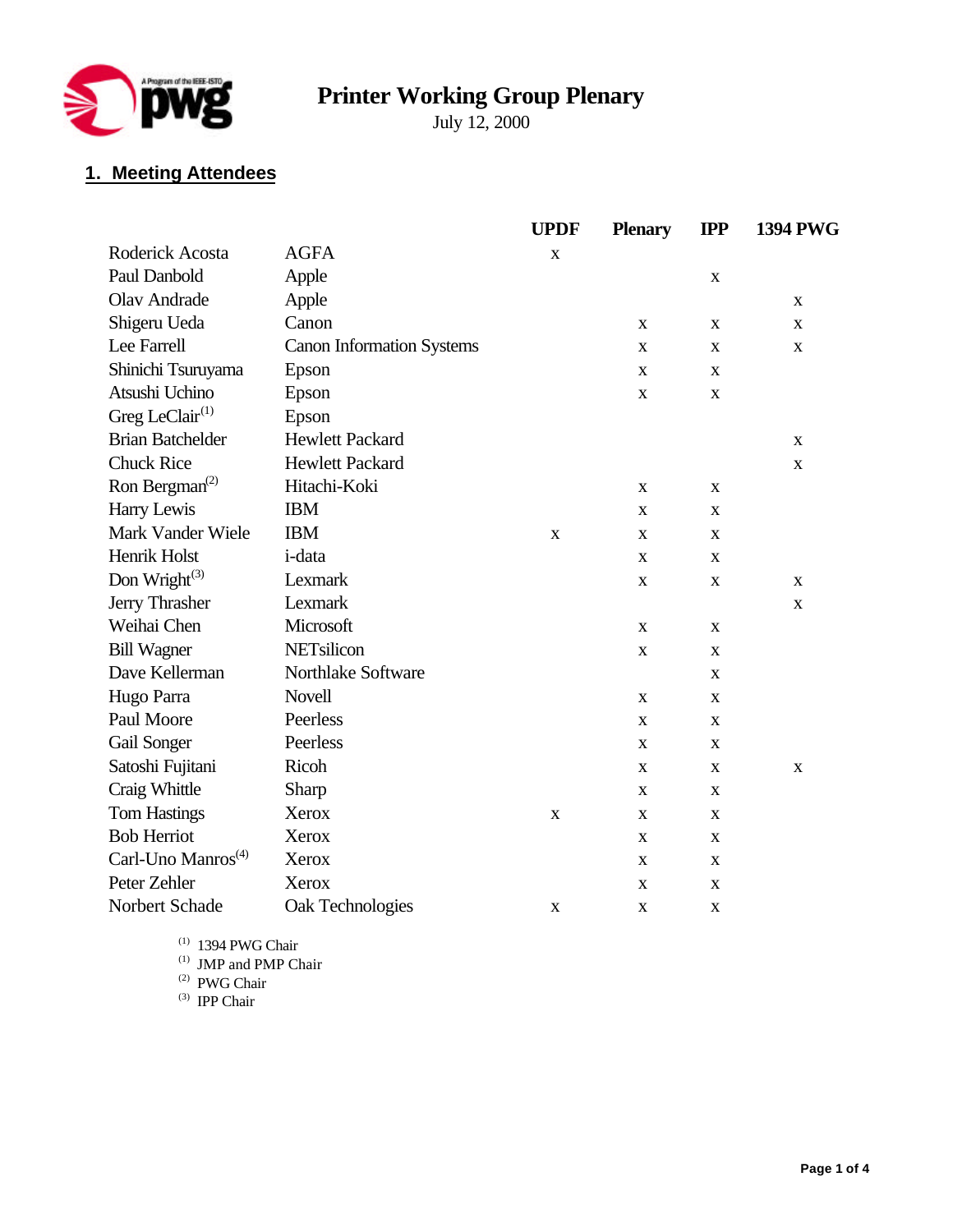

# **Printer Working Group Plenary**

July 12, 2000

## **1. Meeting Attendees**

|                                         |                                  | <b>UPDF</b> | <b>Plenary</b> | $_{\rm IPP}$ | <b>1394 PWG</b> |
|-----------------------------------------|----------------------------------|-------------|----------------|--------------|-----------------|
| Roderick Acosta                         | <b>AGFA</b>                      | $\mathbf X$ |                |              |                 |
| Paul Danbold                            | Apple                            |             |                | $\mathbf X$  |                 |
| <b>Olav Andrade</b>                     | Apple                            |             |                |              | X               |
| Shigeru Ueda                            | Canon                            |             | X              | X            | X               |
| Lee Farrell                             | <b>Canon Information Systems</b> |             | X              | X            | $\mathbf X$     |
| Shinichi Tsuruyama                      | Epson                            |             | X              | X            |                 |
| Atsushi Uchino                          | Epson                            |             | $\mathbf X$    | $\mathbf X$  |                 |
| Greg LeClair $(1)$                      | Epson                            |             |                |              |                 |
| <b>Brian Batchelder</b>                 | <b>Hewlett Packard</b>           |             |                |              | X               |
| <b>Chuck Rice</b>                       | <b>Hewlett Packard</b>           |             |                |              | $\mathbf X$     |
| Ron Bergman <sup><math>(2)</math></sup> | Hitachi-Koki                     |             | $\mathbf X$    | X            |                 |
| Harry Lewis                             | <b>IBM</b>                       |             | X              | X            |                 |
| Mark Vander Wiele                       | <b>IBM</b>                       | $\mathbf X$ | X              | $\mathbf X$  |                 |
| Henrik Holst                            | i-data                           |             | X              | X            |                 |
| Don Wright <sup>(3)</sup>               | Lexmark                          |             | X              | $\mathbf X$  | X               |
| Jerry Thrasher                          | Lexmark                          |             |                |              | $\mathbf X$     |
| Weihai Chen                             | Microsoft                        |             | $\mathbf X$    | $\mathbf X$  |                 |
| <b>Bill Wagner</b>                      | NETsilicon                       |             | $\mathbf X$    | $\mathbf X$  |                 |
| Dave Kellerman                          | Northlake Software               |             |                | $\mathbf X$  |                 |
| Hugo Parra                              | <b>Novell</b>                    |             | X              | X            |                 |
| Paul Moore                              | Peerless                         |             | $\mathbf{X}$   | X            |                 |
| Gail Songer                             | Peerless                         |             | $\mathbf X$    | X            |                 |
| Satoshi Fujitani                        | Ricoh                            |             | X              | X            | X               |
| Craig Whittle                           | Sharp                            |             | X              | X            |                 |
| <b>Tom Hastings</b>                     | Xerox                            | $\mathbf X$ | X              | X            |                 |
| <b>Bob Herriot</b>                      | Xerox                            |             | X              | $\mathbf X$  |                 |
| Carl-Uno Manros <sup>(4)</sup>          | <b>Xerox</b>                     |             | X              | $\mathbf X$  |                 |
| Peter Zehler                            | Xerox                            |             | X              | X            |                 |
| Norbert Schade                          | Oak Technologies                 | $\mathbf X$ | X              | $\mathbf X$  |                 |

 $(1)$  1394 PWG Chair

(1) JMP and PMP Chair

(2) PWG Chair

(3) IPP Chair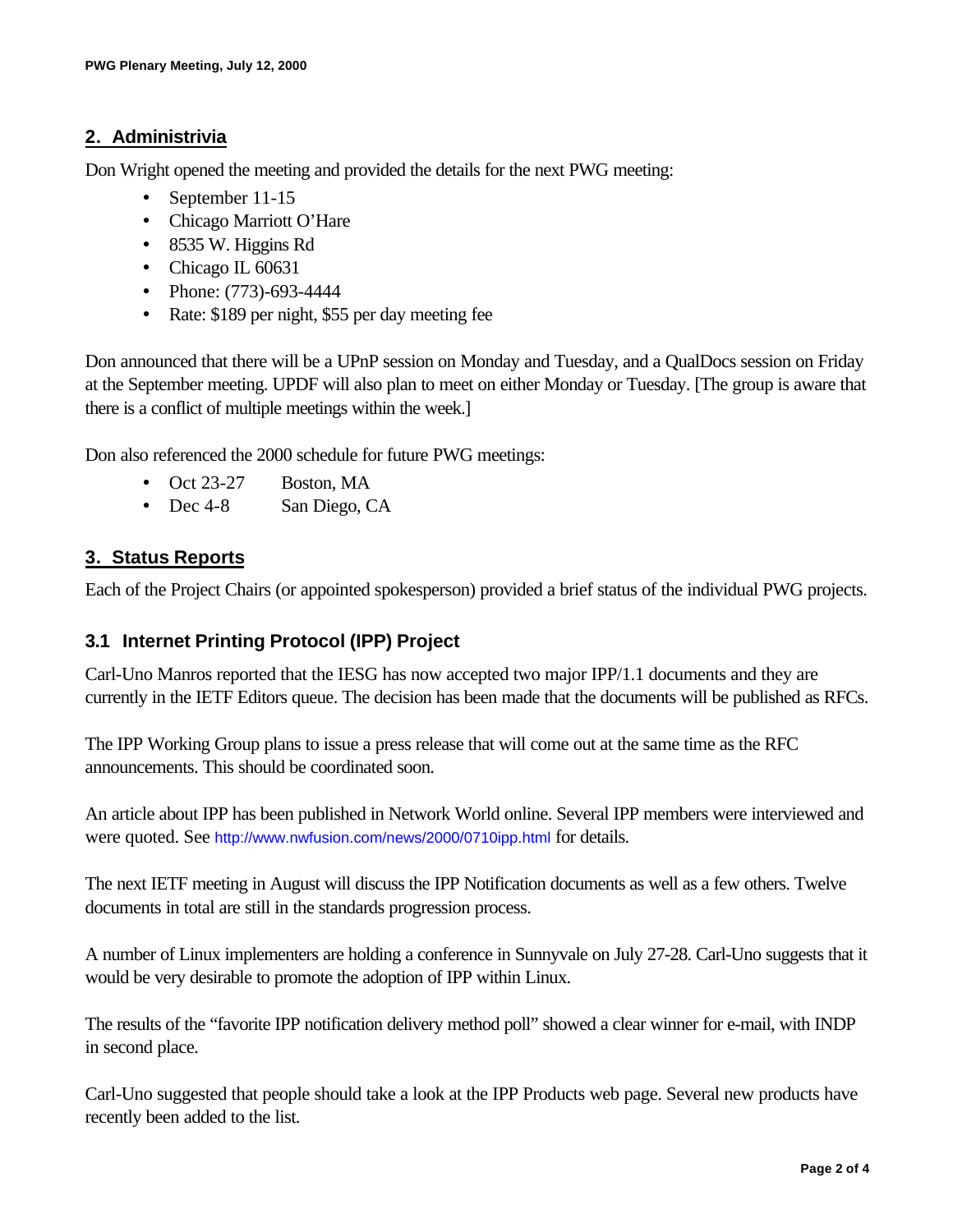#### **2. Administrivia**

Don Wright opened the meeting and provided the details for the next PWG meeting:

- September 11-15
- Chicago Marriott O'Hare
- 8535 W. Higgins Rd
- Chicago IL 60631
- Phone: (773)-693-4444
- Rate: \$189 per night, \$55 per day meeting fee

Don announced that there will be a UPnP session on Monday and Tuesday, and a QualDocs session on Friday at the September meeting. UPDF will also plan to meet on either Monday or Tuesday. [The group is aware that there is a conflict of multiple meetings within the week.]

Don also referenced the 2000 schedule for future PWG meetings:

- Oct 23-27 Boston, MA
- Dec 4-8 San Diego, CA

#### **3. Status Reports**

Each of the Project Chairs (or appointed spokesperson) provided a brief status of the individual PWG projects.

#### **3.1 Internet Printing Protocol (IPP) Project**

Carl-Uno Manros reported that the IESG has now accepted two major IPP/1.1 documents and they are currently in the IETF Editors queue. The decision has been made that the documents will be published as RFCs.

The IPP Working Group plans to issue a press release that will come out at the same time as the RFC announcements. This should be coordinated soon.

An article about IPP has been published in Network World online. Several IPP members were interviewed and were quoted. See http://www.nwfusion.com/news/2000/0710ipp.html for details.

The next IETF meeting in August will discuss the IPP Notification documents as well as a few others. Twelve documents in total are still in the standards progression process.

A number of Linux implementers are holding a conference in Sunnyvale on July 27-28. Carl-Uno suggests that it would be very desirable to promote the adoption of IPP within Linux.

The results of the "favorite IPP notification delivery method poll" showed a clear winner for e-mail, with INDP in second place.

Carl-Uno suggested that people should take a look at the IPP Products web page. Several new products have recently been added to the list.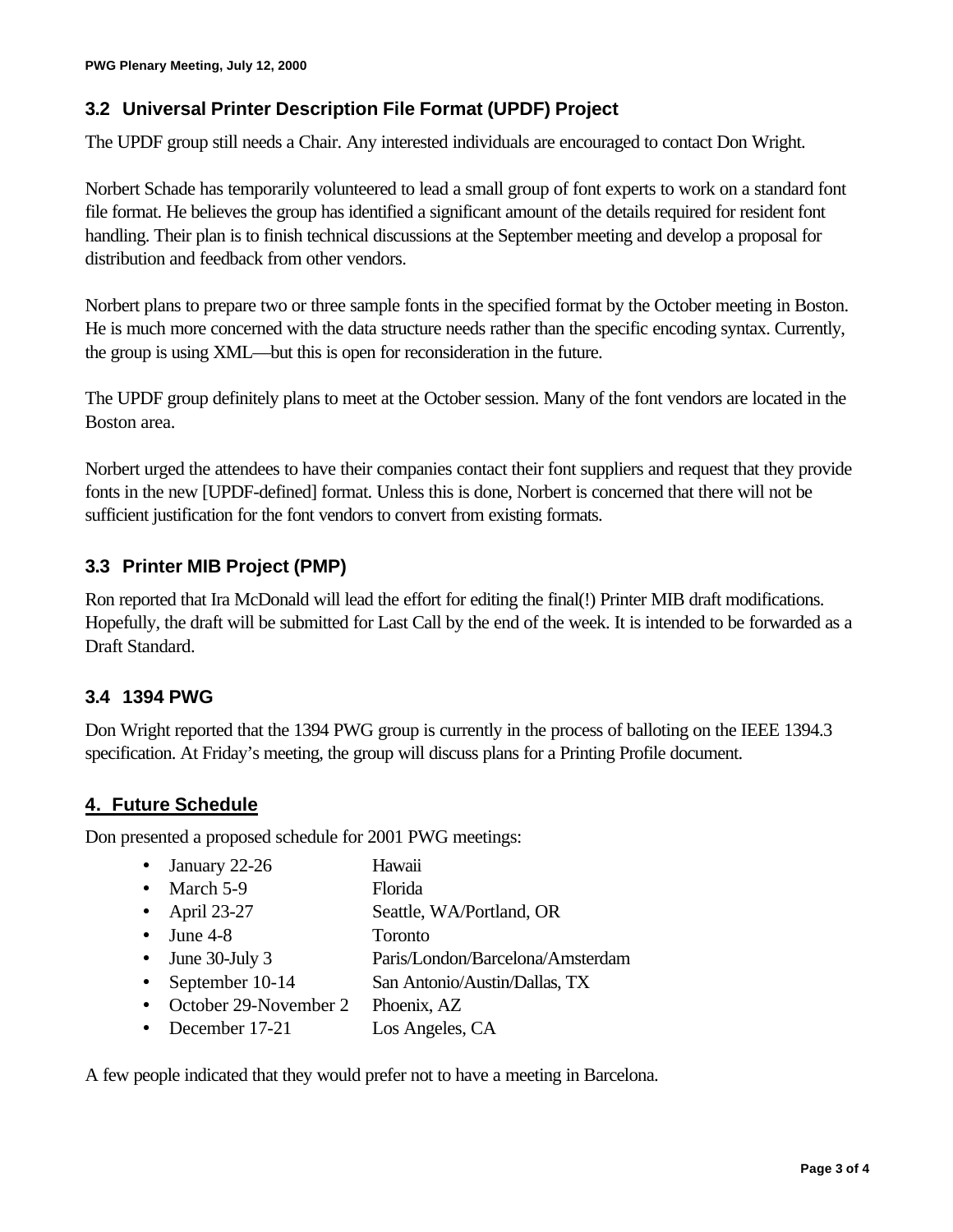## **3.2 Universal Printer Description File Format (UPDF) Project**

The UPDF group still needs a Chair. Any interested individuals are encouraged to contact Don Wright.

Norbert Schade has temporarily volunteered to lead a small group of font experts to work on a standard font file format. He believes the group has identified a significant amount of the details required for resident font handling. Their plan is to finish technical discussions at the September meeting and develop a proposal for distribution and feedback from other vendors.

Norbert plans to prepare two or three sample fonts in the specified format by the October meeting in Boston. He is much more concerned with the data structure needs rather than the specific encoding syntax. Currently, the group is using XML—but this is open for reconsideration in the future.

The UPDF group definitely plans to meet at the October session. Many of the font vendors are located in the Boston area.

Norbert urged the attendees to have their companies contact their font suppliers and request that they provide fonts in the new [UPDF-defined] format. Unless this is done, Norbert is concerned that there will not be sufficient justification for the font vendors to convert from existing formats.

### **3.3 Printer MIB Project (PMP)**

Ron reported that Ira McDonald will lead the effort for editing the final(!) Printer MIB draft modifications. Hopefully, the draft will be submitted for Last Call by the end of the week. It is intended to be forwarded as a Draft Standard.

### **3.4 1394 PWG**

Don Wright reported that the 1394 PWG group is currently in the process of balloting on the IEEE 1394.3 specification. At Friday's meeting, the group will discuss plans for a Printing Profile document.

### **4. Future Schedule**

Don presented a proposed schedule for 2001 PWG meetings:

- January 22-26 Hawaii
- March 5-9 Florida
- April 23-27 Seattle, WA/Portland, OR
- June 4-8 Toronto
- June 30-July 3 Paris/London/Barcelona/Amsterdam
- September 10-14 San Antonio/Austin/Dallas, TX
- October 29-November 2 Phoenix, AZ
- December 17-21 Los Angeles, CA

A few people indicated that they would prefer not to have a meeting in Barcelona.